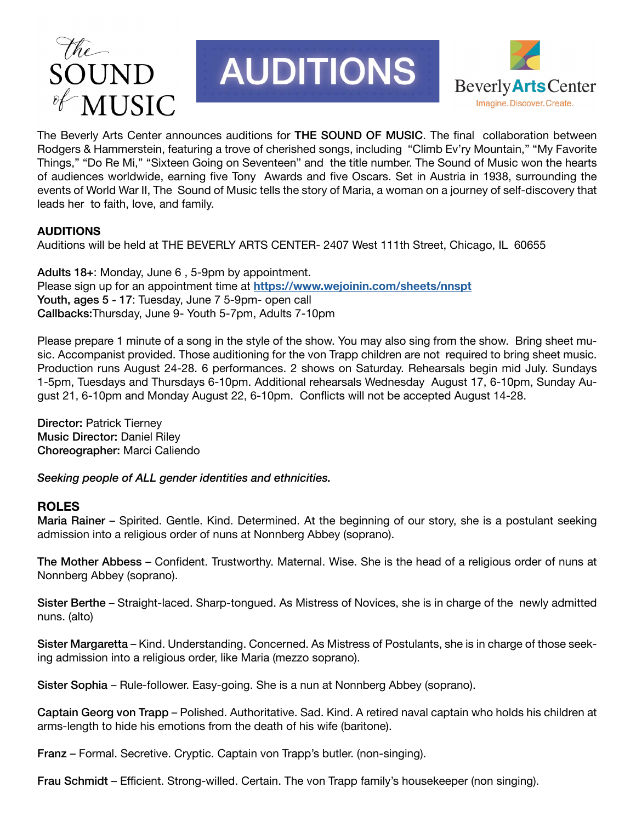

## **AUDITIONS**



The Beverly Arts Center announces auditions for THE SOUND OF MUSIC. The final collaboration between Rodgers & Hammerstein, featuring a trove of cherished songs, including "Climb Ev'ry Mountain," "My Favorite Things," "Do Re Mi," "Sixteen Going on Seventeen" and the title number. The Sound of Music won the hearts of audiences worldwide, earning five Tony Awards and five Oscars. Set in Austria in 1938, surrounding the events of World War II, The Sound of Music tells the story of Maria, a woman on a journey of self-discovery that leads her to faith, love, and family.

## **AUDITIONS**

Auditions will be held at THE BEVERLY ARTS CENTER- 2407 West 111th Street, Chicago, IL 60655

Adults 18+: Monday, June 6 , 5-9pm by appointment. Please sign up for an appointment time at **<https://www.wejoinin.com/sheets/nnspt>** Youth, ages 5 - 17: Tuesday, June 7 5-9pm- open call Callbacks:Thursday, June 9- Youth 5-7pm, Adults 7-10pm

Please prepare 1 minute of a song in the style of the show. You may also sing from the show. Bring sheet music. Accompanist provided. Those auditioning for the von Trapp children are not required to bring sheet music. Production runs August 24-28. 6 performances. 2 shows on Saturday. Rehearsals begin mid July. Sundays 1-5pm, Tuesdays and Thursdays 6-10pm. Additional rehearsals Wednesday August 17, 6-10pm, Sunday August 21, 6-10pm and Monday August 22, 6-10pm. Conflicts will not be accepted August 14-28.

Director: Patrick Tierney Music Director: Daniel Riley Choreographer: Marci Caliendo

*Seeking people of ALL gender identities and ethnicities.* 

## **ROLES**

Maria Rainer – Spirited. Gentle. Kind. Determined. At the beginning of our story, she is a postulant seeking admission into a religious order of nuns at Nonnberg Abbey (soprano).

The Mother Abbess – Confident. Trustworthy. Maternal. Wise. She is the head of a religious order of nuns at Nonnberg Abbey (soprano).

Sister Berthe – Straight-laced. Sharp-tongued. As Mistress of Novices, she is in charge of the newly admitted nuns. (alto)

Sister Margaretta – Kind. Understanding. Concerned. As Mistress of Postulants, she is in charge of those seeking admission into a religious order, like Maria (mezzo soprano).

Sister Sophia – Rule-follower. Easy-going. She is a nun at Nonnberg Abbey (soprano).

Captain Georg von Trapp – Polished. Authoritative. Sad. Kind. A retired naval captain who holds his children at arms-length to hide his emotions from the death of his wife (baritone).

Franz – Formal. Secretive. Cryptic. Captain von Trapp's butler. (non-singing).

Frau Schmidt – Efficient. Strong-willed. Certain. The von Trapp family's housekeeper (non singing).